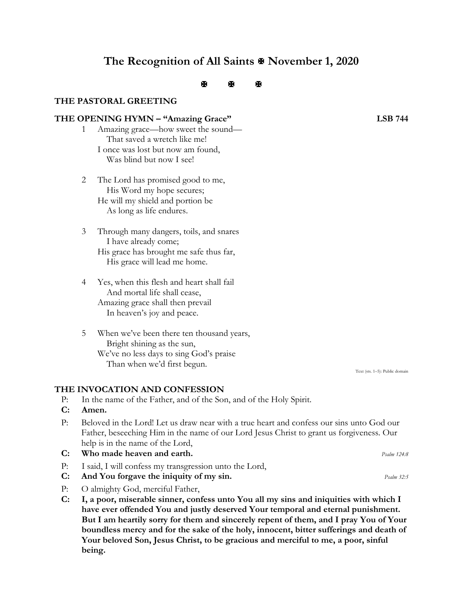# **The Recognition of All Saints November 1, 2020**

# $\mathbb{R}$   $\mathbb{R}$   $\mathbb{R}$

# **THE PASTORAL GREETING**

# **THE OPENING HYMN – "Amazing Grace" LSB 744**

- 1 Amazing grace—how sweet the sound— That saved a wretch like me! I once was lost but now am found,
	- Was blind but now I see!
- 2 The Lord has promised good to me, His Word my hope secures; He will my shield and portion be As long as life endures.
- 3 Through many dangers, toils, and snares I have already come; His grace has brought me safe thus far, His grace will lead me home.
- 4 Yes, when this flesh and heart shall fail And mortal life shall cease, Amazing grace shall then prevail In heaven's joy and peace.
- 5 When we've been there ten thousand years, Bright shining as the sun, We've no less days to sing God's praise Than when we'd first begun.

# **THE INVOCATION AND CONFESSION**

- P: In the name of the Father, and of the Son, and of the Holy Spirit.
- **C: Amen.**
- P: Beloved in the Lord! Let us draw near with a true heart and confess our sins unto God our Father, beseeching Him in the name of our Lord Jesus Christ to grant us forgiveness. Our help is in the name of the Lord,
- **C: Who made heaven and earth.** *Psalm 124:8*
- P: I said, I will confess my transgression unto the Lord,
- **C: And You forgave the iniquity of my sin.** *Psalm 32:5*
- P: O almighty God, merciful Father,
- **C: I, a poor, miserable sinner, confess unto You all my sins and iniquities with which I have ever offended You and justly deserved Your temporal and eternal punishment. But I am heartily sorry for them and sincerely repent of them, and I pray You of Your boundless mercy and for the sake of the holy, innocent, bitter sufferings and death of Your beloved Son, Jesus Christ, to be gracious and merciful to me, a poor, sinful being.**

Text (sts. 1–5): Public domain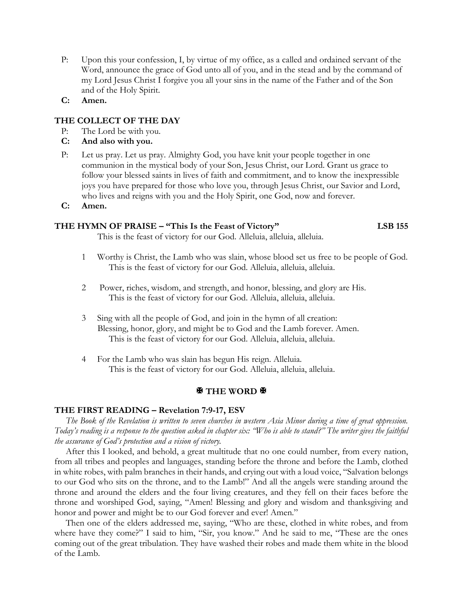- P: Upon this your confession, I, by virtue of my office, as a called and ordained servant of the Word, announce the grace of God unto all of you, and in the stead and by the command of my Lord Jesus Christ I forgive you all your sins in the name of the Father and of the Son and of the Holy Spirit.
- **C: Amen.**

# **THE COLLECT OF THE DAY**

- P: The Lord be with you.
- **C: And also with you.**
- P: Let us pray. Let us pray. Almighty God, you have knit your people together in one communion in the mystical body of your Son, Jesus Christ, our Lord. Grant us grace to follow your blessed saints in lives of faith and commitment, and to know the inexpressible joys you have prepared for those who love you, through Jesus Christ, our Savior and Lord, who lives and reigns with you and the Holy Spirit, one God, now and forever.
- **C: Amen.**

# **THE HYMN OF PRAISE – "This Is the Feast of Victory" LSB 155**

This is the feast of victory for our God. Alleluia, alleluia, alleluia.

- 1 Worthy is Christ, the Lamb who was slain, whose blood set us free to be people of God. This is the feast of victory for our God. Alleluia, alleluia, alleluia.
- 2 Power, riches, wisdom, and strength, and honor, blessing, and glory are His. This is the feast of victory for our God. Alleluia, alleluia, alleluia.
- 3 Sing with all the people of God, and join in the hymn of all creation: Blessing, honor, glory, and might be to God and the Lamb forever. Amen. This is the feast of victory for our God. Alleluia, alleluia, alleluia.
- 4 For the Lamb who was slain has begun His reign. Alleluia. This is the feast of victory for our God. Alleluia, alleluia, alleluia.

# **图 THE WORD 图**

#### **THE FIRST READING – Revelation 7:9-17, ESV**

*The Book of the Revelation is written to seven churches in western Asia Minor during a time of great oppression. Today's reading is a response to the question asked in chapter six: "Who is able to stand?" The writer gives the faithful the assurance of God's protection and a vision of victory.* 

 After this I looked, and behold, a great multitude that no one could number, from every nation, from all tribes and peoples and languages, standing before the throne and before the Lamb, clothed in white robes, with palm branches in their hands, and crying out with a loud voice, "Salvation belongs to our God who sits on the throne, and to the Lamb!" And all the angels were standing around the throne and around the elders and the four living creatures, and they fell on their faces before the throne and worshiped God, saying, "Amen! Blessing and glory and wisdom and thanksgiving and honor and power and might be to our God forever and ever! Amen."

 Then one of the elders addressed me, saying, "Who are these, clothed in white robes, and from where have they come?" I said to him, "Sir, you know." And he said to me, "These are the ones coming out of the great tribulation. They have washed their robes and made them white in the blood of the Lamb.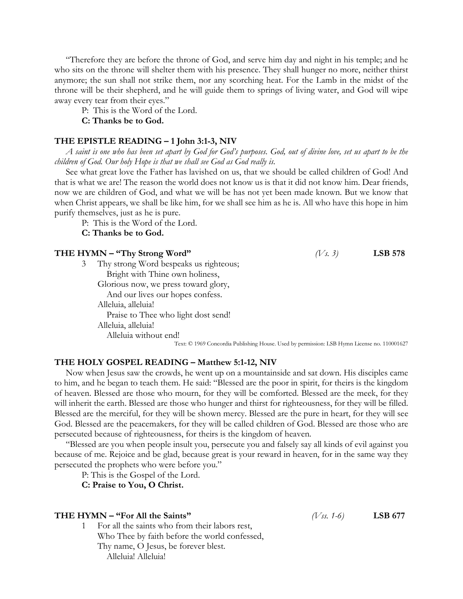"Therefore they are before the throne of God, and serve him day and night in his temple; and he who sits on the throne will shelter them with his presence. They shall hunger no more, neither thirst anymore; the sun shall not strike them, nor any scorching heat. For the Lamb in the midst of the throne will be their shepherd, and he will guide them to springs of living water, and God will wipe away every tear from their eyes."

P: This is the Word of the Lord.

# **C: Thanks be to God.**

#### **THE EPISTLE READING – 1 John 3:1-3, NIV**

 *A saint is one who has been set apart by God for God's purposes. God, out of divine love, set us apart to be the children of God. Our holy Hope is that we shall see God as God really is.* 

 See what great love the Father has lavished on us, that we should be called children of God! And that is what we are! The reason the world does not know us is that it did not know him. Dear friends, now we are children of God, and what we will be has not yet been made known. But we know that when Christ appears, we shall be like him, for we shall see him as he is. All who have this hope in him purify themselves, just as he is pure.

P: This is the Word of the Lord.

**C: Thanks be to God.**

| THE HYMN - "Thy Strong Word" |                                        | $(V_s, 3)$ | <b>LSB 578</b> |
|------------------------------|----------------------------------------|------------|----------------|
|                              | Thy strong Word bespeaks us righteous; |            |                |
|                              | Bright with Thine own holiness,        |            |                |
|                              | Glorious now, we press toward glory,   |            |                |
|                              | And our lives our hopes confess.       |            |                |
|                              | Alleluia, alleluia!                    |            |                |
|                              | Praise to Thee who light dost send!    |            |                |
|                              | Alleluia, alleluia!                    |            |                |
|                              | Alleluia without end!                  |            |                |
|                              |                                        |            |                |

Text: © 1969 Concordia Publishing House. Used by permission: LSB Hymn License no. 110001627

#### **THE HOLY GOSPEL READING – Matthew 5:1-12, NIV**

 Now when Jesus saw the crowds, he went up on a mountainside and sat down. His disciples came to him, and he began to teach them. He said: "Blessed are the poor in spirit, for theirs is the kingdom of heaven. Blessed are those who mourn, for they will be comforted. Blessed are the meek, for they will inherit the earth. Blessed are those who hunger and thirst for righteousness, for they will be filled. Blessed are the merciful, for they will be shown mercy. Blessed are the pure in heart, for they will see God. Blessed are the peacemakers, for they will be called children of God. Blessed are those who are persecuted because of righteousness, for theirs is the kingdom of heaven.

 "Blessed are you when people insult you, persecute you and falsely say all kinds of evil against you because of me. Rejoice and be glad, because great is your reward in heaven, for in the same way they persecuted the prophets who were before you."

P: This is the Gospel of the Lord.

**C: Praise to You, O Christ.**

#### **THE HYMN – "For All the Saints"** *(Vss. 1-6)* **LSB 677**

1 For all the saints who from their labors rest, Who Thee by faith before the world confessed, Thy name, O Jesus, be forever blest. Alleluia! Alleluia!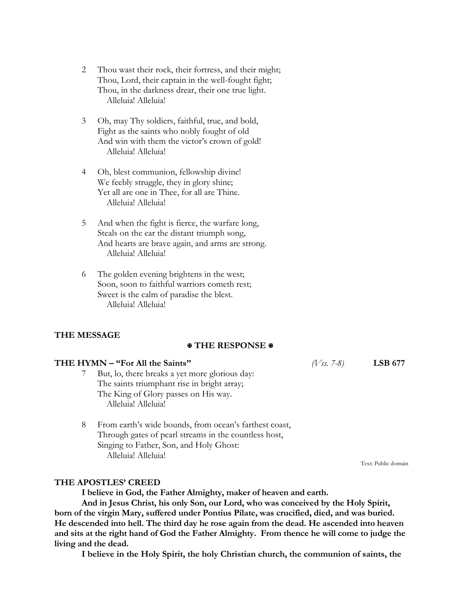- 2 Thou wast their rock, their fortress, and their might; Thou, Lord, their captain in the well-fought fight; Thou, in the darkness drear, their one true light. Alleluia! Alleluia!
- 3 Oh, may Thy soldiers, faithful, true, and bold, Fight as the saints who nobly fought of old And win with them the victor's crown of gold! Alleluia! Alleluia!
- 4 Oh, blest communion, fellowship divine! We feebly struggle, they in glory shine; Yet all are one in Thee, for all are Thine. Alleluia! Alleluia!
- 5 And when the fight is fierce, the warfare long, Steals on the ear the distant triumph song, And hearts are brave again, and arms are strong. Alleluia! Alleluia!
- 6 The golden evening brightens in the west; Soon, soon to faithful warriors cometh rest; Sweet is the calm of paradise the blest. Alleluia! Alleluia!

# **THE MESSAGE**

# **THE RESPONSE**

# **THE HYMN – "For All the Saints"** *(Vss. 7-8)* **LSB 677**

- 7 But, lo, there breaks a yet more glorious day: The saints triumphant rise in bright array; The King of Glory passes on His way. Alleluia! Alleluia!
- 8 From earth's wide bounds, from ocean's farthest coast, Through gates of pearl streams in the countless host, Singing to Father, Son, and Holy Ghost: Alleluia! Alleluia!

Text: Public domain

#### **THE APOSTLES' CREED**

**I believe in God, the Father Almighty, maker of heaven and earth.**

**And in Jesus Christ, his only Son, our Lord, who was conceived by the Holy Spirit, born of the virgin Mary, suffered under Pontius Pilate, was crucified, died, and was buried. He descended into hell. The third day he rose again from the dead. He ascended into heaven and sits at the right hand of God the Father Almighty. From thence he will come to judge the living and the dead.** 

**I believe in the Holy Spirit, the holy Christian church, the communion of saints, the**